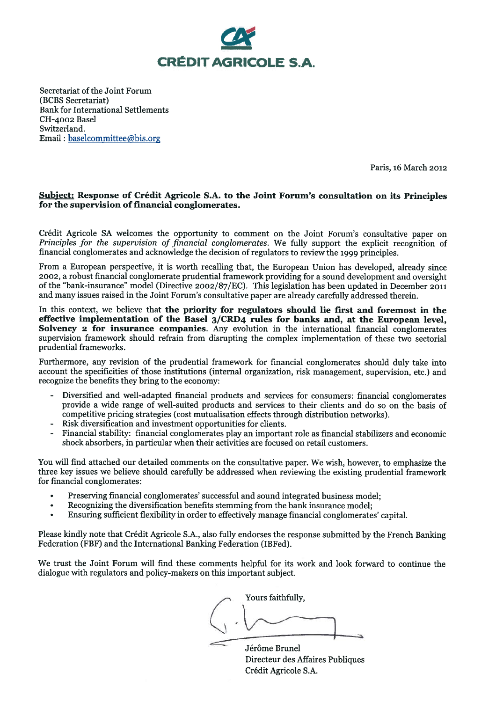

Secretariat of the Joint Forum (BCBS Secretariat) **Bank for International Settlements** CH-4002 Basel Switzerland. Email: baselcommittee@bis.org

Paris, 16 March 2012

#### Subject: Response of Crédit Agricole S.A. to the Joint Forum's consultation on its Principles for the supervision of financial conglomerates.

Crédit Agricole SA welcomes the opportunity to comment on the Joint Forum's consultative paper on *Principles for the supervision of financial conglomerates.* We fully support the explicit recognition of financial conglomerates and acknowledge the decision of regulators to review the 1999 principles.

From a European perspective, it is worth recalling that, the European Union has developed, already since 2002, a robust financial conglomerate prudential framework providing for a sound development and oversight of the "bank-insurance" model (Directive 2002/87/EC). This legislation has been updated in December 2011 and many issues raised in the Joint Forum's consultative paper are already carefully addressed therein.

In this context, we believe that the priority for regulators should lie first and foremost in the effective implementation of the Basel 3/CRD4 rules for banks and, at the European level, Solvency 2 for insurance companies. Any evolution in the international financial conglomerates supervision framework should refrain from disrupting the complex implementation of these two sectorial prudential frameworks.

Furthermore, any revision of the prudential framework for financial conglomerates should duly take into account the specificities of those institutions (internal organization, risk management, supervision, etc.) and recognize the benefits they bring to the economy:

- Diversified and well-adapted financial products and services for consumers: financial conglomerates provide a wide range of well-suited products and services to their clients and do so on the basis of competitive pricing strategies (cost mutualisation effects through distribution networks).
- Risk diversification and investment opportunities for clients.
- Financial stability: financial conglomerates play an important role as financial stabilizers and economic shock absorbers, in particular when their activities are focused on retail customers.

You will find attached our detailed comments on the consultative paper. We wish, however, to emphasize the three key issues we believe should carefully be addressed when reviewing the existing prudential framework for financial conglomerates:

- Preserving financial conglomerates' successful and sound integrated business model;
- Recognizing the diversification benefits stemming from the bank insurance model;
- Ensuring sufficient flexibility in order to effectively manage financial conglomerates' capital.

Please kindly note that Crédit Agricole S.A., also fully endorses the response submitted by the French Banking Federation (FBF) and the International Banking Federation (IBFed).

We trust the Joint Forum will find these comments helpful for its work and look forward to continue the dialogue with regulators and policy-makers on this important subject.

Yours faithfully,

Jérôme Brunel Directeur des Affaires Publiques Crédit Agricole S.A.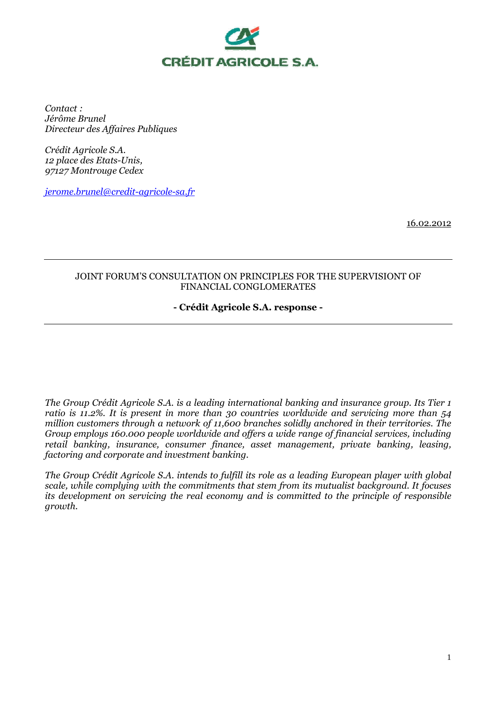

*Contact : Jérôme Brunel Directeur des Affaires Publiques* 

*Crédit Agricole S.A. 12 place des Etats-Unis, 97127 Montrouge Cedex* 

*jerome.brunel@credit-agricole-sa.fr*

16.02.2012

## JOINT FORUM'S CONSULTATION ON PRINCIPLES FOR THE SUPERVISIONT OF FINANCIAL CONGLOMERATES

# **- Crédit Agricole S.A. response -**

*The Group Crédit Agricole S.A. is a leading international banking and insurance group. Its Tier 1 ratio is 11.2%. It is present in more than 30 countries worldwide and servicing more than 54 million customers through a network of 11,600 branches solidly anchored in their territories. The Group employs 160.000 people worldwide and offers a wide range of financial services, including retail banking, insurance, consumer finance, asset management, private banking, leasing, factoring and corporate and investment banking.* 

*The Group Crédit Agricole S.A. intends to fulfill its role as a leading European player with global scale, while complying with the commitments that stem from its mutualist background. It focuses its development on servicing the real economy and is committed to the principle of responsible growth.*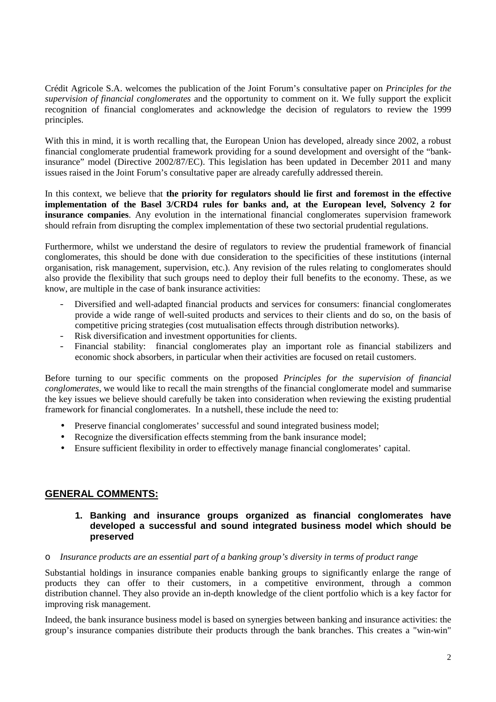Crédit Agricole S.A. welcomes the publication of the Joint Forum's consultative paper on *Principles for the supervision of financial conglomerates* and the opportunity to comment on it. We fully support the explicit recognition of financial conglomerates and acknowledge the decision of regulators to review the 1999 principles.

With this in mind, it is worth recalling that, the European Union has developed, already since 2002, a robust financial conglomerate prudential framework providing for a sound development and oversight of the "bankinsurance" model (Directive 2002/87/EC). This legislation has been updated in December 2011 and many issues raised in the Joint Forum's consultative paper are already carefully addressed therein.

In this context, we believe that **the priority for regulators should lie first and foremost in the effective implementation of the Basel 3/CRD4 rules for banks and, at the European level, Solvency 2 for insurance companies**. Any evolution in the international financial conglomerates supervision framework should refrain from disrupting the complex implementation of these two sectorial prudential regulations.

Furthermore, whilst we understand the desire of regulators to review the prudential framework of financial conglomerates, this should be done with due consideration to the specificities of these institutions (internal organisation, risk management, supervision, etc.). Any revision of the rules relating to conglomerates should also provide the flexibility that such groups need to deploy their full benefits to the economy. These, as we know, are multiple in the case of bank insurance activities:

- Diversified and well-adapted financial products and services for consumers: financial conglomerates provide a wide range of well-suited products and services to their clients and do so, on the basis of competitive pricing strategies (cost mutualisation effects through distribution networks).
- Risk diversification and investment opportunities for clients.
- Financial stability: financial conglomerates play an important role as financial stabilizers and economic shock absorbers, in particular when their activities are focused on retail customers.

Before turning to our specific comments on the proposed *Principles for the supervision of financial conglomerates*, we would like to recall the main strengths of the financial conglomerate model and summarise the key issues we believe should carefully be taken into consideration when reviewing the existing prudential framework for financial conglomerates. In a nutshell, these include the need to:

- Preserve financial conglomerates' successful and sound integrated business model;
- Recognize the diversification effects stemming from the bank insurance model;
- Ensure sufficient flexibility in order to effectively manage financial conglomerates' capital.

# **GENERAL COMMENTS:**

### **1. Banking and insurance groups organized as financial conglomerates have developed a successful and sound integrated business model which should be preserved**

#### o *Insurance products are an essential part of a banking group's diversity in terms of product range*

Substantial holdings in insurance companies enable banking groups to significantly enlarge the range of products they can offer to their customers, in a competitive environment, through a common distribution channel. They also provide an in-depth knowledge of the client portfolio which is a key factor for improving risk management.

Indeed, the bank insurance business model is based on synergies between banking and insurance activities: the group's insurance companies distribute their products through the bank branches. This creates a "win-win"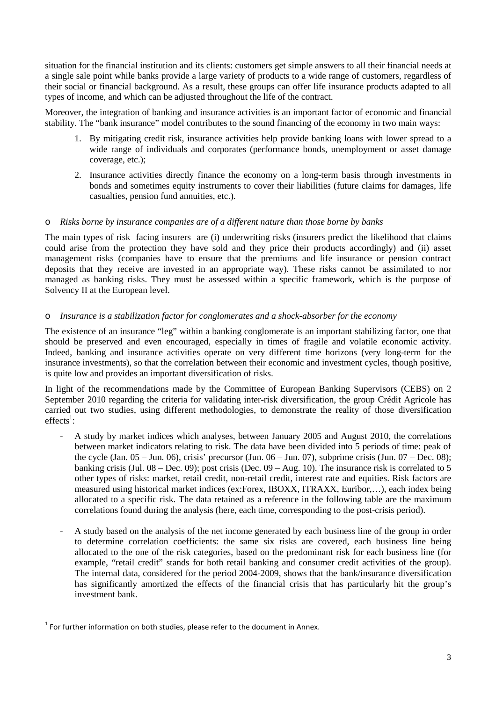situation for the financial institution and its clients: customers get simple answers to all their financial needs at a single sale point while banks provide a large variety of products to a wide range of customers, regardless of their social or financial background. As a result, these groups can offer life insurance products adapted to all types of income, and which can be adjusted throughout the life of the contract.

Moreover, the integration of banking and insurance activities is an important factor of economic and financial stability. The "bank insurance" model contributes to the sound financing of the economy in two main ways:

- 1. By mitigating credit risk, insurance activities help provide banking loans with lower spread to a wide range of individuals and corporates (performance bonds, unemployment or asset damage coverage, etc.);
- 2. Insurance activities directly finance the economy on a long-term basis through investments in bonds and sometimes equity instruments to cover their liabilities (future claims for damages, life casualties, pension fund annuities, etc.).

# o *Risks borne by insurance companies are of a different nature than those borne by banks*

The main types of risk facing insurers are (i) underwriting risks (insurers predict the likelihood that claims could arise from the protection they have sold and they price their products accordingly) and (ii) asset management risks (companies have to ensure that the premiums and life insurance or pension contract deposits that they receive are invested in an appropriate way). These risks cannot be assimilated to nor managed as banking risks. They must be assessed within a specific framework, which is the purpose of Solvency II at the European level.

## o *Insurance is a stabilization factor for conglomerates and a shock-absorber for the economy*

The existence of an insurance "leg" within a banking conglomerate is an important stabilizing factor, one that should be preserved and even encouraged, especially in times of fragile and volatile economic activity. Indeed, banking and insurance activities operate on very different time horizons (very long-term for the insurance investments), so that the correlation between their economic and investment cycles, though positive, is quite low and provides an important diversification of risks.

In light of the recommendations made by the Committee of European Banking Supervisors (CEBS) on 2 September 2010 regarding the criteria for validating inter-risk diversification, the group Crédit Agricole has carried out two studies, using different methodologies, to demonstrate the reality of those diversification  $effects^1$ :

- A study by market indices which analyses, between January 2005 and August 2010, the correlations between market indicators relating to risk. The data have been divided into 5 periods of time: peak of the cycle (Jan.  $05 -$  Jun. 06), crisis' precursor (Jun.  $06 -$  Jun. 07), subprime crisis (Jun.  $07 -$  Dec. 08); banking crisis (Jul.  $08 - Dec. 09$ ); post crisis (Dec.  $09 - Aug. 10$ ). The insurance risk is correlated to 5 other types of risks: market, retail credit, non-retail credit, interest rate and equities. Risk factors are measured using historical market indices (ex:Forex, IBOXX, ITRAXX, Euribor,…), each index being allocated to a specific risk. The data retained as a reference in the following table are the maximum correlations found during the analysis (here, each time, corresponding to the post-crisis period).
- A study based on the analysis of the net income generated by each business line of the group in order to determine correlation coefficients: the same six risks are covered, each business line being allocated to the one of the risk categories, based on the predominant risk for each business line (for example, "retail credit" stands for both retail banking and consumer credit activities of the group). The internal data, considered for the period 2004-2009, shows that the bank/insurance diversification has significantly amortized the effects of the financial crisis that has particularly hit the group's investment bank.

 $\overline{a}$ 

 $<sup>1</sup>$  For further information on both studies, please refer to the document in Annex.</sup>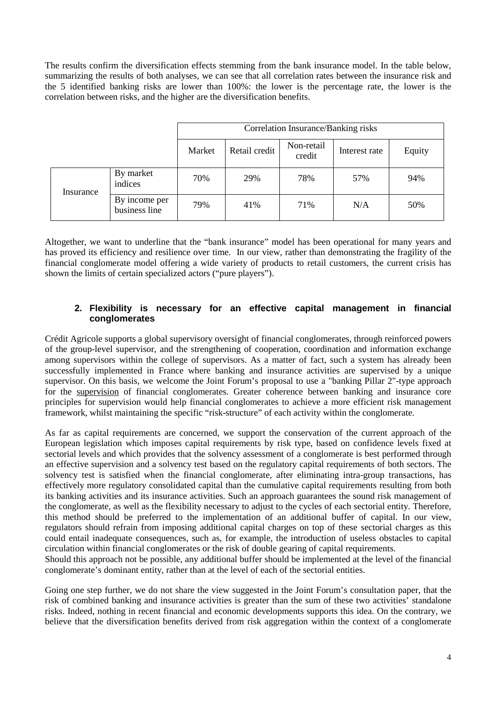The results confirm the diversification effects stemming from the bank insurance model. In the table below, summarizing the results of both analyses, we can see that all correlation rates between the insurance risk and the 5 identified banking risks are lower than 100%: the lower is the percentage rate, the lower is the correlation between risks, and the higher are the diversification benefits.

|           |                                | Correlation Insurance/Banking risks |               |                      |               |        |
|-----------|--------------------------------|-------------------------------------|---------------|----------------------|---------------|--------|
|           |                                | Market                              | Retail credit | Non-retail<br>credit | Interest rate | Equity |
| Insurance | By market<br>indices           | 70%                                 | 29%           | 78%                  | 57%           | 94%    |
|           | By income per<br>business line | 79%                                 | 41%           | 71%                  | N/A           | 50%    |

Altogether, we want to underline that the "bank insurance" model has been operational for many years and has proved its efficiency and resilience over time. In our view, rather than demonstrating the fragility of the financial conglomerate model offering a wide variety of products to retail customers, the current crisis has shown the limits of certain specialized actors ("pure players").

## **2. Flexibility is necessary for an effective capital management in financial conglomerates**

Crédit Agricole supports a global supervisory oversight of financial conglomerates, through reinforced powers of the group-level supervisor, and the strengthening of cooperation, coordination and information exchange among supervisors within the college of supervisors. As a matter of fact, such a system has already been successfully implemented in France where banking and insurance activities are supervised by a unique supervisor. On this basis, we welcome the Joint Forum's proposal to use a "banking Pillar 2"-type approach for the supervision of financial conglomerates. Greater coherence between banking and insurance core principles for supervision would help financial conglomerates to achieve a more efficient risk management framework, whilst maintaining the specific "risk-structure" of each activity within the conglomerate.

As far as capital requirements are concerned, we support the conservation of the current approach of the European legislation which imposes capital requirements by risk type, based on confidence levels fixed at sectorial levels and which provides that the solvency assessment of a conglomerate is best performed through an effective supervision and a solvency test based on the regulatory capital requirements of both sectors. The solvency test is satisfied when the financial conglomerate, after eliminating intra-group transactions, has effectively more regulatory consolidated capital than the cumulative capital requirements resulting from both its banking activities and its insurance activities. Such an approach guarantees the sound risk management of the conglomerate, as well as the flexibility necessary to adjust to the cycles of each sectorial entity. Therefore, this method should be preferred to the implementation of an additional buffer of capital. In our view, regulators should refrain from imposing additional capital charges on top of these sectorial charges as this could entail inadequate consequences, such as, for example, the introduction of useless obstacles to capital circulation within financial conglomerates or the risk of double gearing of capital requirements.

Should this approach not be possible, any additional buffer should be implemented at the level of the financial conglomerate's dominant entity, rather than at the level of each of the sectorial entities.

Going one step further, we do not share the view suggested in the Joint Forum's consultation paper, that the risk of combined banking and insurance activities is greater than the sum of these two activities' standalone risks. Indeed, nothing in recent financial and economic developments supports this idea. On the contrary, we believe that the diversification benefits derived from risk aggregation within the context of a conglomerate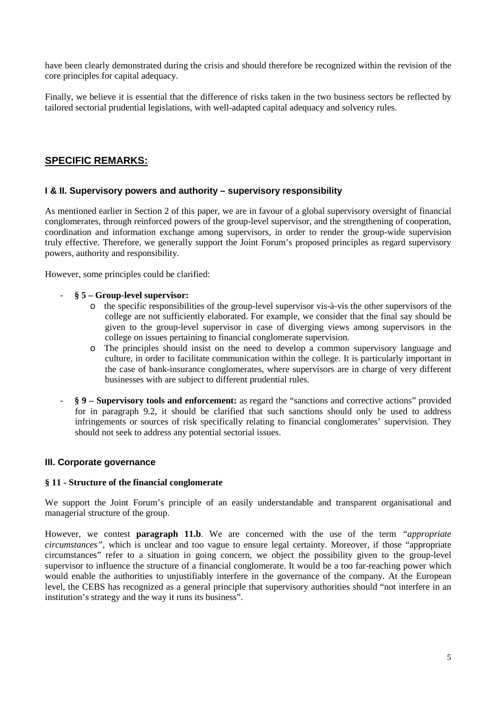have been clearly demonstrated during the crisis and should therefore be recognized within the revision of the core principles for capital adequacy.

Finally, we believe it is essential that the difference of risks taken in the two business sectors be reflected by tailored sectorial prudential legislations, with well-adapted capital adequacy and solvency rules.

# **SPECIFIC REMARKS:**

## **I & II. Supervisory powers and authority – supervisory responsibility**

As mentioned earlier in Section 2 of this paper, we are in favour of a global supervisory oversight of financial conglomerates, through reinforced powers of the group-level supervisor, and the strengthening of cooperation, coordination and information exchange among supervisors, in order to render the group-wide supervision truly effective. Therefore, we generally support the Joint Forum's proposed principles as regard supervisory powers, authority and responsibility.

However, some principles could be clarified:

- **§ 5 Group-level supervisor:** 
	- o the specific responsibilities of the group-level supervisor vis-à-vis the other supervisors of the college are not sufficiently elaborated. For example, we consider that the final say should be given to the group-level supervisor in case of diverging views among supervisors in the college on issues pertaining to financial conglomerate supervision.
	- o The principles should insist on the need to develop a common supervisory language and culture, in order to facilitate communication within the college. It is particularly important in the case of bank-insurance conglomerates, where supervisors are in charge of very different businesses with are subject to different prudential rules.
- **§ 9 Supervisory tools and enforcement:** as regard the "sanctions and corrective actions" provided for in paragraph 9.2, it should be clarified that such sanctions should only be used to address infringements or sources of risk specifically relating to financial conglomerates' supervision. They should not seek to address any potential sectorial issues.

#### **III. Corporate governance**

#### **§ 11 - Structure of the financial conglomerate**

We support the Joint Forum's principle of an easily understandable and transparent organisational and managerial structure of the group.

However, we contest **paragraph 11.b**. We are concerned with the use of the term *"appropriate circumstances",* which is unclear and too vague to ensure legal certainty. Moreover, if those "appropriate circumstances" refer to a situation in going concern, we object the possibility given to the group-level supervisor to influence the structure of a financial conglomerate. It would be a too far-reaching power which would enable the authorities to unjustifiably interfere in the governance of the company. At the European level, the CEBS has recognized as a general principle that supervisory authorities should "not interfere in an institution's strategy and the way it runs its business".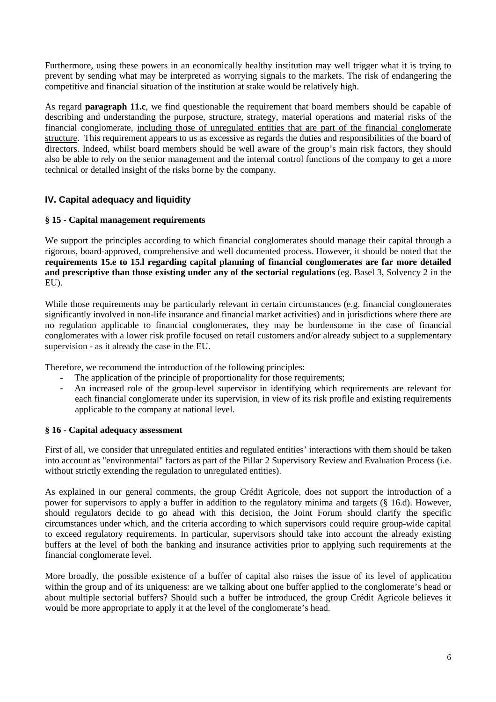Furthermore, using these powers in an economically healthy institution may well trigger what it is trying to prevent by sending what may be interpreted as worrying signals to the markets. The risk of endangering the competitive and financial situation of the institution at stake would be relatively high.

As regard **paragraph 11.c**, we find questionable the requirement that board members should be capable of describing and understanding the purpose, structure, strategy, material operations and material risks of the financial conglomerate, including those of unregulated entities that are part of the financial conglomerate structure. This requirement appears to us as excessive as regards the duties and responsibilities of the board of directors. Indeed, whilst board members should be well aware of the group's main risk factors, they should also be able to rely on the senior management and the internal control functions of the company to get a more technical or detailed insight of the risks borne by the company.

# **IV. Capital adequacy and liquidity**

# **§ 15 - Capital management requirements**

We support the principles according to which financial conglomerates should manage their capital through a rigorous, board-approved, comprehensive and well documented process. However, it should be noted that the **requirements 15.e to 15.l regarding capital planning of financial conglomerates are far more detailed and prescriptive than those existing under any of the sectorial regulations** (eg. Basel 3, Solvency 2 in the EU).

While those requirements may be particularly relevant in certain circumstances (e.g. financial conglomerates significantly involved in non-life insurance and financial market activities) and in jurisdictions where there are no regulation applicable to financial conglomerates, they may be burdensome in the case of financial conglomerates with a lower risk profile focused on retail customers and/or already subject to a supplementary supervision - as it already the case in the EU.

Therefore, we recommend the introduction of the following principles:

- The application of the principle of proportionality for those requirements;
- An increased role of the group-level supervisor in identifying which requirements are relevant for each financial conglomerate under its supervision, in view of its risk profile and existing requirements applicable to the company at national level.

# **§ 16 - Capital adequacy assessment**

First of all, we consider that unregulated entities and regulated entities' interactions with them should be taken into account as "environmental" factors as part of the Pillar 2 Supervisory Review and Evaluation Process (i.e. without strictly extending the regulation to unregulated entities).

As explained in our general comments, the group Crédit Agricole, does not support the introduction of a power for supervisors to apply a buffer in addition to the regulatory minima and targets (§ 16.d). However, should regulators decide to go ahead with this decision, the Joint Forum should clarify the specific circumstances under which, and the criteria according to which supervisors could require group-wide capital to exceed regulatory requirements. In particular, supervisors should take into account the already existing buffers at the level of both the banking and insurance activities prior to applying such requirements at the financial conglomerate level.

More broadly, the possible existence of a buffer of capital also raises the issue of its level of application within the group and of its uniqueness: are we talking about one buffer applied to the conglomerate's head or about multiple sectorial buffers? Should such a buffer be introduced, the group Crédit Agricole believes it would be more appropriate to apply it at the level of the conglomerate's head.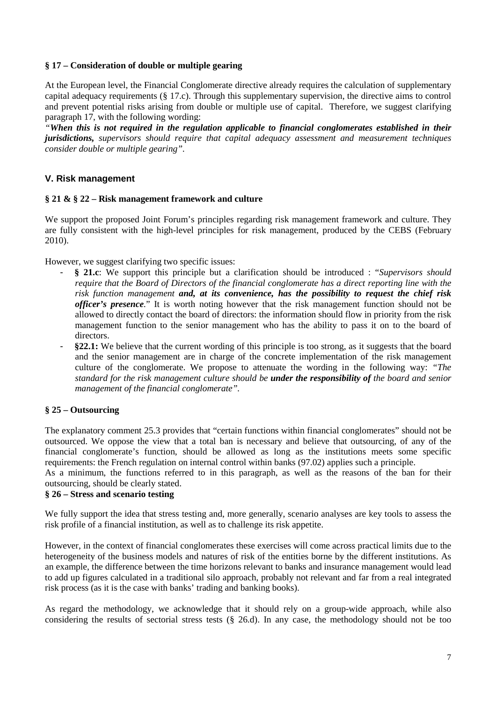### **§ 17 – Consideration of double or multiple gearing**

At the European level, the Financial Conglomerate directive already requires the calculation of supplementary capital adequacy requirements (§ 17.c). Through this supplementary supervision, the directive aims to control and prevent potential risks arising from double or multiple use of capital. Therefore, we suggest clarifying paragraph 17, with the following wording:

*"When this is not required in the regulation applicable to financial conglomerates established in their jurisdictions, supervisors should require that capital adequacy assessment and measurement techniques consider double or multiple gearing".* 

# **V. Risk management**

## **§ 21 & § 22 – Risk management framework and culture**

We support the proposed Joint Forum's principles regarding risk management framework and culture. They are fully consistent with the high-level principles for risk management, produced by the CEBS (February 2010).

However, we suggest clarifying two specific issues:

- **§ 21.c**: We support this principle but a clarification should be introduced : "*Supervisors should require that the Board of Directors of the financial conglomerate has a direct reporting line with the risk function management and, at its convenience, has the possibility to request the chief risk officer's presence.*" It is worth noting however that the risk management function should not be allowed to directly contact the board of directors: the information should flow in priority from the risk management function to the senior management who has the ability to pass it on to the board of directors.
- **§22.1:** We believe that the current wording of this principle is too strong, as it suggests that the board and the senior management are in charge of the concrete implementation of the risk management culture of the conglomerate. We propose to attenuate the wording in the following way: *"The standard for the risk management culture should be under the responsibility of the board and senior management of the financial conglomerate".*

# **§ 25 – Outsourcing**

The explanatory comment 25.3 provides that "certain functions within financial conglomerates" should not be outsourced. We oppose the view that a total ban is necessary and believe that outsourcing, of any of the financial conglomerate's function, should be allowed as long as the institutions meets some specific requirements: the French regulation on internal control within banks (97.02) applies such a principle.

As a minimum, the functions referred to in this paragraph, as well as the reasons of the ban for their outsourcing, should be clearly stated.

# **§ 26 – Stress and scenario testing**

We fully support the idea that stress testing and, more generally, scenario analyses are key tools to assess the risk profile of a financial institution, as well as to challenge its risk appetite.

However, in the context of financial conglomerates these exercises will come across practical limits due to the heterogeneity of the business models and natures of risk of the entities borne by the different institutions. As an example, the difference between the time horizons relevant to banks and insurance management would lead to add up figures calculated in a traditional silo approach, probably not relevant and far from a real integrated risk process (as it is the case with banks' trading and banking books).

As regard the methodology, we acknowledge that it should rely on a group-wide approach, while also considering the results of sectorial stress tests (§ 26.d). In any case, the methodology should not be too